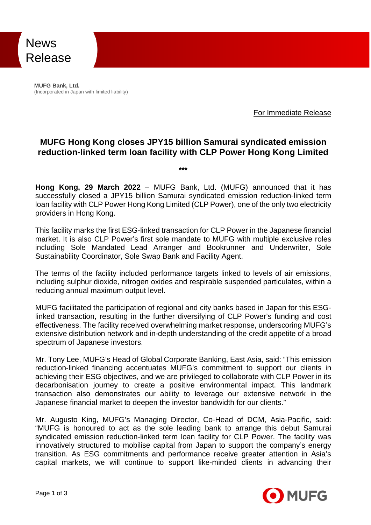

**MUFG Bank, Ltd.** (Incorporated in Japan with limited liability)

For Immediate Release

## **MUFG Hong Kong closes JPY15 billion Samurai syndicated emission reduction-linked term loan facility with CLP Power Hong Kong Limited**

**\*\*\***

**Hong Kong, 29 March 2022** – MUFG Bank, Ltd. (MUFG) announced that it has successfully closed a JPY15 billion Samurai syndicated emission reduction-linked term loan facility with CLP Power Hong Kong Limited (CLP Power), one of the only two electricity providers in Hong Kong.

This facility marks the first ESG-linked transaction for CLP Power in the Japanese financial market. It is also CLP Power's first sole mandate to MUFG with multiple exclusive roles including Sole Mandated Lead Arranger and Bookrunner and Underwriter, Sole Sustainability Coordinator, Sole Swap Bank and Facility Agent.

The terms of the facility included performance targets linked to levels of air emissions, including sulphur dioxide, nitrogen oxides and respirable suspended particulates, within a reducing annual maximum output level.

MUFG facilitated the participation of regional and city banks based in Japan for this ESGlinked transaction, resulting in the further diversifying of CLP Power's funding and cost effectiveness. The facility received overwhelming market response, underscoring MUFG's extensive distribution network and in-depth understanding of the credit appetite of a broad spectrum of Japanese investors.

Mr. Tony Lee, MUFG's Head of Global Corporate Banking, East Asia, said: "This emission reduction-linked financing accentuates MUFG's commitment to support our clients in achieving their ESG objectives, and we are privileged to collaborate with CLP Power in its decarbonisation journey to create a positive environmental impact. This landmark transaction also demonstrates our ability to leverage our extensive network in the Japanese financial market to deepen the investor bandwidth for our clients."

Mr. Augusto King, MUFG's Managing Director, Co-Head of DCM, Asia-Pacific, said: "MUFG is honoured to act as the sole leading bank to arrange this debut Samurai syndicated emission reduction-linked term loan facility for CLP Power. The facility was innovatively structured to mobilise capital from Japan to support the company's energy transition. As ESG commitments and performance receive greater attention in Asia's capital markets, we will continue to support like-minded clients in advancing their

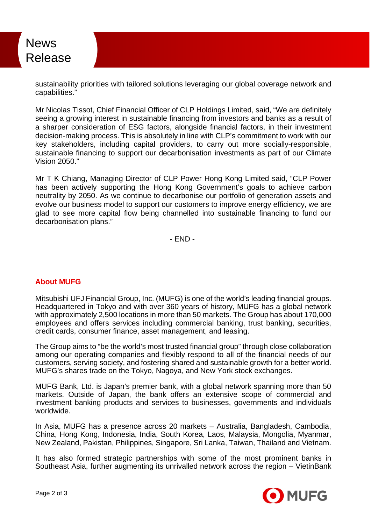

sustainability priorities with tailored solutions leveraging our global coverage network and capabilities."

Mr Nicolas Tissot, Chief Financial Officer of CLP Holdings Limited, said, "We are definitely seeing a growing interest in sustainable financing from investors and banks as a result of a sharper consideration of ESG factors, alongside financial factors, in their investment decision-making process. This is absolutely in line with CLP's commitment to work with our key stakeholders, including capital providers, to carry out more socially-responsible, sustainable financing to support our decarbonisation investments as part of our Climate Vision 2050."

Mr T K Chiang, Managing Director of CLP Power Hong Kong Limited said, "CLP Power has been actively supporting the Hong Kong Government's goals to achieve carbon neutrality by 2050. As we continue to decarbonise our portfolio of generation assets and evolve our business model to support our customers to improve energy efficiency, we are glad to see more capital flow being channelled into sustainable financing to fund our decarbonisation plans."

- END -

## **About MUFG**

Mitsubishi UFJ Financial Group, Inc. (MUFG) is one of the world's leading financial groups. Headquartered in Tokyo and with over 360 years of history, MUFG has a global network with approximately 2,500 locations in more than 50 markets. The Group has about 170,000 employees and offers services including commercial banking, trust banking, securities, credit cards, consumer finance, asset management, and leasing.

The Group aims to "be the world's most trusted financial group" through close collaboration among our operating companies and flexibly respond to all of the financial needs of our customers, serving society, and fostering shared and sustainable growth for a better world. MUFG's shares trade on the Tokyo, Nagoya, and New York stock exchanges.

MUFG Bank, Ltd. is Japan's premier bank, with a global network spanning more than 50 markets. Outside of Japan, the bank offers an extensive scope of commercial and investment banking products and services to businesses, governments and individuals worldwide.

In Asia, MUFG has a presence across 20 markets – Australia, Bangladesh, Cambodia, China, Hong Kong, Indonesia, India, South Korea, Laos, Malaysia, Mongolia, Myanmar, New Zealand, Pakistan, Philippines, Singapore, Sri Lanka, Taiwan, Thailand and Vietnam.

It has also formed strategic partnerships with some of the most prominent banks in Southeast Asia, further augmenting its unrivalled network across the region – VietinBank